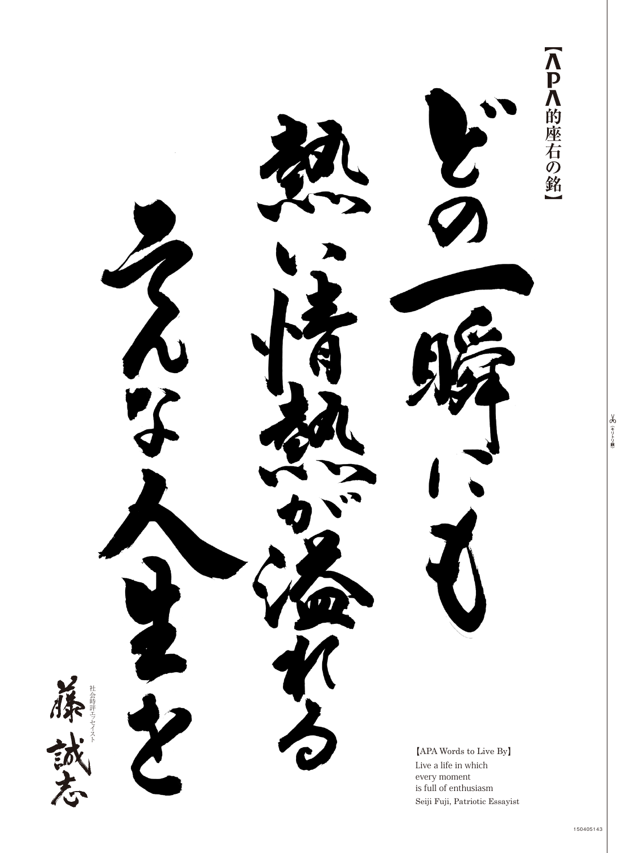